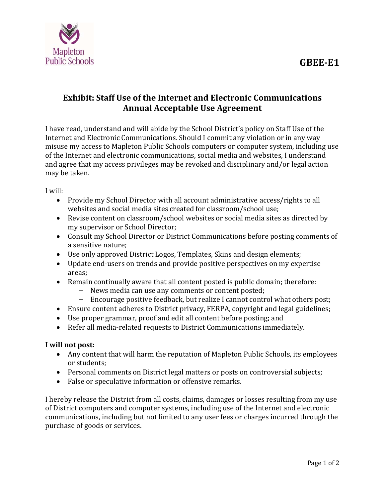## **GBEE‐E1**



## **Exhibit: Staff Use of the Internet and Electronic Communications Annual Acceptable Use Agreement**

I have read, understand and will abide by the School District's policy on Staff Use of the Internet and Electronic Communications. Should I commit any violation or in any way misuse my access to Mapleton Public Schools computers or computer system, including use of the Internet and electronic communications, social media and websites, I understand and agree that my access privileges may be revoked and disciplinary and/or legal action may be taken.

I will:

- Provide my School Director with all account administrative access/rights to all websites and social media sites created for classroom/school use;
- Revise content on classroom/school websites or social media sites as directed by my supervisor or School Director;
- Consult my School Director or District Communications before posting comments of a sensitive nature;
- Use only approved District Logos, Templates, Skins and design elements;
- Update end-users on trends and provide positive perspectives on my expertise areas;
- Remain continually aware that all content posted is public domain; therefore:
	- News media can use any comments or content posted;
	- Encourage positive feedback, but realize I cannot control what others post;
- Ensure content adheres to District privacy, FERPA, copyright and legal guidelines;
- Use proper grammar, proof and edit all content before posting; and
- Refer all media-related requests to District Communications immediately.

## **I will not post:**

- Any content that will harm the reputation of Mapleton Public Schools, its employees or students:
- Personal comments on District legal matters or posts on controversial subjects;
- False or speculative information or offensive remarks.

I hereby release the District from all costs, claims, damages or losses resulting from my use of District computers and computer systems, including use of the Internet and electronic communications, including but not limited to any user fees or charges incurred through the purchase of goods or services.